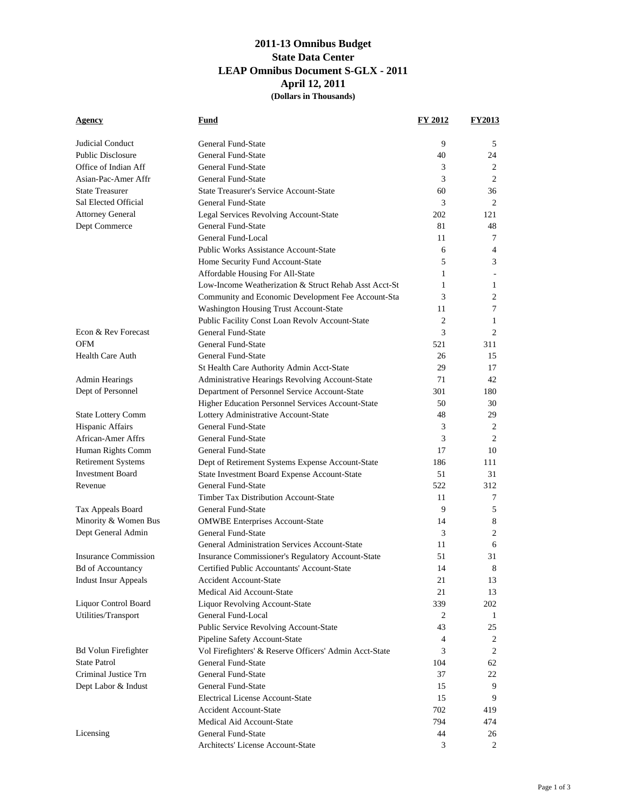## **2011-13 Omnibus Budget State Data Center LEAP Omnibus Document S-GLX - 2011 April 12, 2011 (Dollars in Thousands)**

| <u>Agency</u>               | Fund                                                   | <b>FY 2012</b> | <b>FY2013</b>  |
|-----------------------------|--------------------------------------------------------|----------------|----------------|
| Judicial Conduct            | General Fund-State                                     | 9              | 5              |
| <b>Public Disclosure</b>    | General Fund-State                                     | 40             | 24             |
| Office of Indian Aff        | General Fund-State                                     | 3              | 2              |
| Asian-Pac-Amer Affr         | General Fund-State                                     | 3              | 2              |
| <b>State Treasurer</b>      | <b>State Treasurer's Service Account-State</b>         | 60             | 36             |
| Sal Elected Official        | General Fund-State                                     | 3              | 2              |
| <b>Attorney General</b>     | Legal Services Revolving Account-State                 | 202            | 121            |
| Dept Commerce               | General Fund-State                                     | 81             | 48             |
|                             | General Fund-Local                                     | 11             | 7              |
|                             | <b>Public Works Assistance Account-State</b>           | 6              | 4              |
|                             | Home Security Fund Account-State                       | 5              | 3              |
|                             | Affordable Housing For All-State                       | 1              |                |
|                             | Low-Income Weatherization & Struct Rehab Asst Acct-St  | 1              | 1              |
|                             | Community and Economic Development Fee Account-Sta     | 3              | 2              |
|                             | Washington Housing Trust Account-State                 | 11             | 7              |
|                             | Public Facility Const Loan Revolv Account-State        | 2              | $\mathbf{1}$   |
| Econ & Rev Forecast         | General Fund-State                                     | 3              | 2              |
| <b>OFM</b>                  | General Fund-State                                     | 521            | 311            |
| <b>Health Care Auth</b>     | General Fund-State                                     | 26             | 15             |
|                             | St Health Care Authority Admin Acct-State              | 29             | 17             |
| Admin Hearings              | Administrative Hearings Revolving Account-State        | 71             | 42             |
| Dept of Personnel           | Department of Personnel Service Account-State          | 301            | 180            |
|                             | Higher Education Personnel Services Account-State      | 50             | 30             |
| <b>State Lottery Comm</b>   | Lottery Administrative Account-State                   | 48             | 29             |
| Hispanic Affairs            | General Fund-State                                     | 3              | 2              |
| African-Amer Affrs          | General Fund-State                                     | 3              | 2              |
| Human Rights Comm           | General Fund-State                                     | 17             | 10             |
| <b>Retirement Systems</b>   | Dept of Retirement Systems Expense Account-State       | 186            | 111            |
| <b>Investment Board</b>     | State Investment Board Expense Account-State           | 51             | 31             |
| Revenue                     | General Fund-State                                     | 522            | 312            |
|                             | Timber Tax Distribution Account-State                  | 11             | 7              |
| Tax Appeals Board           | General Fund-State                                     | 9              | 5              |
| Minority & Women Bus        | <b>OMWBE Enterprises Account-State</b>                 | 14             | 8              |
| Dept General Admin          | <b>General Fund-State</b>                              | 3              | 2              |
|                             | General Administration Services Account-State          | 11             | 6              |
| <b>Insurance Commission</b> | Insurance Commissioner's Regulatory Account-State      | 51             | 31             |
| <b>Bd of Accountancy</b>    | Certified Public Accountants' Account-State            | 14             | 8              |
| <b>Indust Insur Appeals</b> | Accident Account-State                                 | 21             | 13             |
|                             | Medical Aid Account-State                              | 21             | 13             |
| Liquor Control Board        | <b>Liquor Revolving Account-State</b>                  | 339            | 202            |
| Utilities/Transport         | General Fund-Local                                     | 2              | 1              |
|                             | Public Service Revolving Account-State                 | 43             | 25             |
|                             | Pipeline Safety Account-State                          | 4              | 2              |
| <b>Bd Volun Firefighter</b> | Vol Firefighters' & Reserve Officers' Admin Acct-State | 3              | 2              |
| <b>State Patrol</b>         | General Fund-State                                     | 104            | 62             |
| Criminal Justice Trn        | General Fund-State                                     | 37             | 22             |
| Dept Labor & Indust         | General Fund-State                                     | 15             | 9              |
|                             | <b>Electrical License Account-State</b>                | 15             | 9              |
|                             | <b>Accident Account-State</b>                          | 702            | 419            |
|                             | Medical Aid Account-State                              | 794            | 474            |
| Licensing                   | General Fund-State                                     | 44             | 26             |
|                             | Architects' License Account-State                      | 3              | $\overline{2}$ |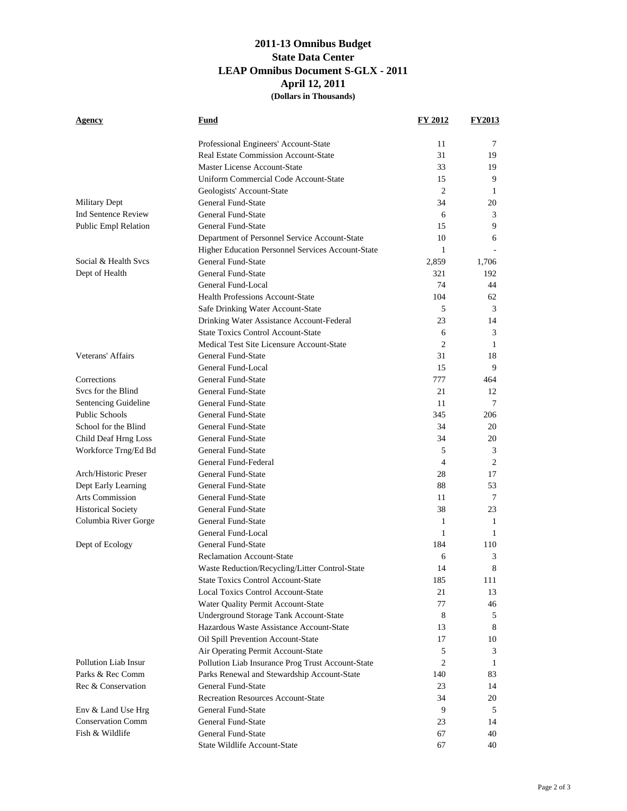## **2011-13 Omnibus Budget State Data Center LEAP Omnibus Document S-GLX - 2011 April 12, 2011 (Dollars in Thousands)**

| Agency                      | Fund                                                            | <b>FY 2012</b> | <b>FY2013</b> |
|-----------------------------|-----------------------------------------------------------------|----------------|---------------|
|                             | Professional Engineers' Account-State                           | 11             | 7             |
|                             | <b>Real Estate Commission Account-State</b>                     | 31             | 19            |
|                             | Master License Account-State                                    | 33             | 19            |
|                             | Uniform Commercial Code Account-State                           | 15             | 9             |
|                             | Geologists' Account-State                                       | 2              | 1             |
| Military Dept               | General Fund-State                                              | 34             | 20            |
| <b>Ind Sentence Review</b>  | General Fund-State                                              | 6              | 3             |
| <b>Public Empl Relation</b> | General Fund-State                                              | 15             | 9             |
|                             | Department of Personnel Service Account-State                   | 10             | 6             |
|                             | Higher Education Personnel Services Account-State               | $\mathbf{1}$   |               |
| Social & Health Svcs        | General Fund-State                                              | 2,859          | 1,706         |
| Dept of Health              | General Fund-State                                              | 321            | 192           |
|                             | General Fund-Local                                              | 74             | 44            |
|                             | <b>Health Professions Account-State</b>                         | 104            | 62            |
|                             | Safe Drinking Water Account-State                               | 5              | 3             |
|                             | Drinking Water Assistance Account-Federal                       | 23             | 14            |
|                             | <b>State Toxics Control Account-State</b>                       | 6              | 3             |
|                             | Medical Test Site Licensure Account-State                       | 2              | 1             |
| Veterans' Affairs           | General Fund-State                                              | 31             | 18            |
|                             | General Fund-Local                                              | 15             | 9             |
| Corrections                 | General Fund-State                                              | 777            | 464           |
| Svcs for the Blind          | General Fund-State                                              | 21             | 12            |
| Sentencing Guideline        | General Fund-State                                              | 11             | 7             |
| Public Schools              | General Fund-State                                              | 345            | 206           |
| School for the Blind        | General Fund-State                                              | 34             | 20            |
| Child Deaf Hrng Loss        | General Fund-State                                              | 34             | 20            |
| Workforce Trng/Ed Bd        | General Fund-State                                              | 5              | 3             |
|                             | General Fund-Federal                                            | 4              | 2             |
| Arch/Historic Preser        | General Fund-State                                              | 28             | 17            |
| Dept Early Learning         | General Fund-State                                              | 88             | 53            |
| <b>Arts Commission</b>      | General Fund-State                                              | 11             | 7             |
| <b>Historical Society</b>   | General Fund-State                                              | 38             | 23            |
| Columbia River Gorge        | General Fund-State                                              | 1              | 1             |
|                             | General Fund-Local                                              | 1              | $\mathbf{1}$  |
| Dept of Ecology             | General Fund-State                                              | 184            | 110           |
|                             | <b>Reclamation Account-State</b>                                | 6              | 3             |
|                             | Waste Reduction/Recycling/Litter Control-State                  | 14             | 8             |
|                             | <b>State Toxics Control Account-State</b>                       | 185            | 111           |
|                             | <b>Local Toxics Control Account-State</b>                       | 21             | 13            |
|                             | Water Quality Permit Account-State                              | 77             | 46            |
|                             | Underground Storage Tank Account-State                          | 8              | 5             |
|                             | Hazardous Waste Assistance Account-State                        | 13             | 8             |
|                             | Oil Spill Prevention Account-State                              | 17             | 10            |
|                             | Air Operating Permit Account-State                              | 5              | 3             |
| Pollution Liab Insur        | Pollution Liab Insurance Prog Trust Account-State               | $\overline{c}$ | 1             |
| Parks & Rec Comm            | Parks Renewal and Stewardship Account-State                     | 140            | 83            |
| Rec & Conservation          | General Fund-State<br><b>Recreation Resources Account-State</b> | 23<br>34       | 14<br>20      |
| Env & Land Use Hrg          | General Fund-State                                              | 9              | 5             |
| <b>Conservation Comm</b>    | General Fund-State                                              | 23             | 14            |
| Fish & Wildlife             | General Fund-State                                              | 67             | 40            |
|                             | State Wildlife Account-State                                    | 67             | 40            |